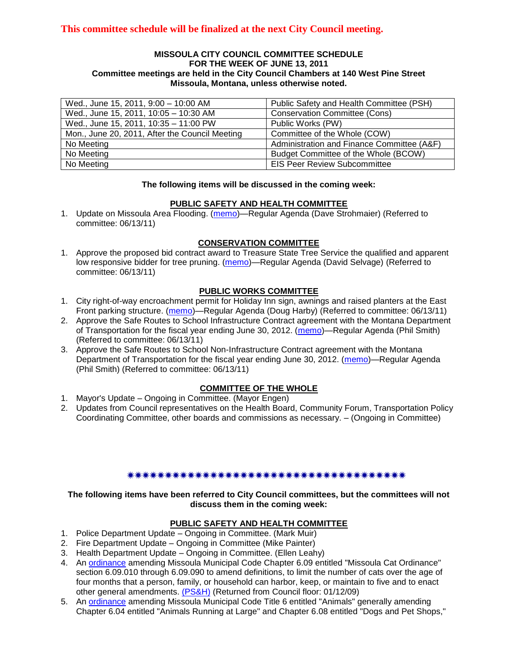#### **MISSOULA CITY COUNCIL COMMITTEE SCHEDULE FOR THE WEEK OF JUNE 13, 2011 Committee meetings are held in the City Council Chambers at 140 West Pine Street Missoula, Montana, unless otherwise noted.**

| Wed., June 15, 2011, 9:00 - 10:00 AM           | Public Safety and Health Committee (PSH)   |
|------------------------------------------------|--------------------------------------------|
| Wed., June 15, 2011, 10:05 - 10:30 AM          | <b>Conservation Committee (Cons)</b>       |
| Wed., June 15, 2011, 10:35 - 11:00 PW          | Public Works (PW)                          |
| Mon., June 20, 2011, After the Council Meeting | Committee of the Whole (COW)               |
| No Meeting                                     | Administration and Finance Committee (A&F) |
| No Meeting                                     | Budget Committee of the Whole (BCOW)       |
| No Meeting                                     | <b>EIS Peer Review Subcommittee</b>        |

#### **The following items will be discussed in the coming week:**

#### **PUBLIC SAFETY AND HEALTH COMMITTEE**

1. Update on Missoula Area Flooding. [\(memo\)](http://www.ci.missoula.mt.us/DocumentView.aspx?DID=6584)—Regular Agenda (Dave Strohmaier) (Referred to committee: 06/13/11)

#### **CONSERVATION COMMITTEE**

1. Approve the proposed bid contract award to Treasure State Tree Service the qualified and apparent low responsive bidder for tree pruning. [\(memo\)](http://www.ci.missoula.mt.us/DocumentView.aspx?DID=6587)—Regular Agenda (David Selvage) (Referred to committee: 06/13/11)

#### **PUBLIC WORKS COMMITTEE**

- 1. City right-of-way encroachment permit for Holiday Inn sign, awnings and raised planters at the East Front parking structure. [\(memo\)](http://www.ci.missoula.mt.us/DocumentView.aspx?DID=6583)—Regular Agenda (Doug Harby) (Referred to committee: 06/13/11)
- 2. Approve the Safe Routes to School Infrastructure Contract agreement with the Montana Department of Transportation for the fiscal year ending June 30, 2012. [\(memo\)](http://www.ci.missoula.mt.us/DocumentView.aspx?DID=6585)—Regular Agenda (Phil Smith) (Referred to committee: 06/13/11)
- 3. Approve the Safe Routes to School Non-Infrastructure Contract agreement with the Montana Department of Transportation for the fiscal year ending June 30, 2012. [\(memo\)](http://www.ci.missoula.mt.us/DocumentView.aspx?DID=6586)—Regular Agenda (Phil Smith) (Referred to committee: 06/13/11)

### **COMMITTEE OF THE WHOLE**

- 1. Mayor's Update Ongoing in Committee. (Mayor Engen)
- 2. Updates from Council representatives on the Health Board, Community Forum, Transportation Policy Coordinating Committee, other boards and commissions as necessary. – (Ongoing in Committee)

#### \*\*\*\*\*\*\*\*\*\*\*\*\*\*\*\*\*\*\*\*\*\*\*\*\*\*\*\*\*\*\*\*\*\*\*\*\*\*

### **The following items have been referred to City Council committees, but the committees will not discuss them in the coming week:**

#### **PUBLIC SAFETY AND HEALTH COMMITTEE**

- 1. Police Department Update Ongoing in Committee. (Mark Muir)
- 2. Fire Department Update Ongoing in Committee (Mike Painter)
- 3. Health Department Update Ongoing in Committee. (Ellen Leahy)
- 4. An [ordinance](ftp://ftp.ci.missoula.mt.us/Packets/Council/2008/2008-12-15/2008CatOrdinanceAmendment%5B1%5D.pdf) amending Missoula Municipal Code Chapter 6.09 entitled "Missoula Cat Ordinance" section 6.09.010 through 6.09.090 to amend definitions, to limit the number of cats over the age of four months that a person, family, or household can harbor, keep, or maintain to five and to enact other general amendments. [\(PS&H\)](ftp://ftp.ci.missoula.mt.us/Packets/Council/2008/2008-12-15/081210psh.pdf) (Returned from Council floor: 01/12/09)
- 5. An [ordinance](ftp://ftp.ci.missoula.mt.us/Packets/Council/2008/2008-12-15/DogOrdinance--PSHrevisions.pdf) amending Missoula Municipal Code Title 6 entitled "Animals" generally amending Chapter 6.04 entitled "Animals Running at Large" and Chapter 6.08 entitled "Dogs and Pet Shops,"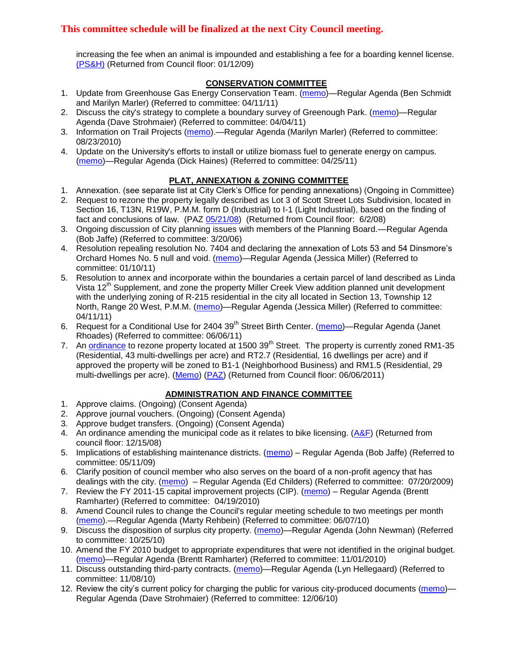increasing the fee when an animal is impounded and establishing a fee for a boarding kennel license. [\(PS&H\)](ftp://ftp.ci.missoula.mt.us/Packets/Council/2008/2008-12-15/081210psh.pdf) (Returned from Council floor: 01/12/09)

### **CONSERVATION COMMITTEE**

- 1. Update from Greenhouse Gas Energy Conservation Team. [\(memo\)](http://www.ci.missoula.mt.us/DocumentView.aspx?DID=5945)—Regular Agenda (Ben Schmidt and Marilyn Marler) (Referred to committee: 04/11/11)
- 2. Discuss the city's strategy to complete a boundary survey of Greenough Park. [\(memo\)](http://www.ci.missoula.mt.us/DocumentView.aspx?DID=5875)—Regular Agenda (Dave Strohmaier) (Referred to committee: 04/04/11)
- 3. Information on Trail Projects [\(memo\)](http://www.ci.missoula.mt.us/DocumentView.aspx?DID=4477).—Regular Agenda (Marilyn Marler) (Referred to committee: 08/23/2010)
- 4. Update on the University's efforts to install or utilize biomass fuel to generate energy on campus. [\(memo\)](http://www.ci.missoula.mt.us/DocumentView.aspx?DID=6268)—Regular Agenda (Dick Haines) (Referred to committee: 04/25/11)

### **PLAT, ANNEXATION & ZONING COMMITTEE**

- 1. Annexation. (see separate list at City Clerk's Office for pending annexations) (Ongoing in Committee)
- 2. Request to rezone the property legally described as Lot 3 of Scott Street Lots Subdivision, located in Section 16, T13N, R19W, P.M.M. form D (Industrial) to I-1 (Light Industrial), based on the finding of fact and conclusions of law. (PAZ [05/21/08\)](ftp://ftp.ci.missoula.mt.us/Packets/Council/2008/2008-06-02/080521paz.pdf) (Returned from Council floor: 6/2/08)
- 3. Ongoing discussion of City planning issues with members of the Planning Board.—Regular Agenda (Bob Jaffe) (Referred to committee: 3/20/06)
- 4. Resolution repealing resolution No. 7404 and declaring the annexation of Lots 53 and 54 Dinsmore's Orchard Homes No. 5 null and void. [\(memo\)](http://www.ci.missoula.mt.us/DocumentView.aspx?DID=5349)—Regular Agenda (Jessica Miller) (Referred to committee: 01/10/11)
- 5. Resolution to annex and incorporate within the boundaries a certain parcel of land described as Linda Vista 12<sup>th</sup> Supplement, and zone the property Miller Creek View addition planned unit development with the underlying zoning of R-215 residential in the city all located in Section 13, Township 12 North, Range 20 West, P.M.M. [\(memo\)](http://www.ci.missoula.mt.us/DocumentView.aspx?DID=5992)—Regular Agenda (Jessica Miller) (Referred to committee: 04/11/11)
- 6. Request for a Conditional Use for 2404 39<sup>th</sup> Street Birth Center. [\(memo\)](http://www.ci.missoula.mt.us/DocumentView.aspx?DID=6544)—Regular Agenda (Janet Rhoades) (Referred to committee: 06/06/11)
- 7. An [ordinance](http://www.ci.missoula.mt.us/DocumentView.aspx?DID=6463) to rezone property located at  $1500\,39<sup>th</sup>$  Street. The property is currently zoned RM1-35 (Residential, 43 multi-dwellings per acre) and RT2.7 (Residential, 16 dwellings per acre) and if approved the property will be zoned to B1-1 (Neighborhood Business) and RM1.5 (Residential, 29 multi-dwellings per acre). [\(Memo\)](http://www.ci.missoula.mt.us/DocumentView.aspx?DID=6469) [\(PAZ\)](http://www.ci.missoula.mt.us/Archive.aspx?ADID=4010) (Returned from Council floor: 06/06/2011)

### **ADMINISTRATION AND FINANCE COMMITTEE**

- 1. Approve claims. (Ongoing) (Consent Agenda)
- 2. Approve journal vouchers. (Ongoing) (Consent Agenda)
- 3. Approve budget transfers. (Ongoing) (Consent Agenda)
- 4. An ordinance amending the municipal code as it relates to bike licensing.  $(A\&F)$  (Returned from council floor: 12/15/08)
- 5. Implications of establishing maintenance districts. [\(memo\)](ftp://ftp.ci.missoula.mt.us/Packets/Council/2009/2009-05-11/Referrals/MaintenanceDistricts.pdf) Regular Agenda (Bob Jaffe) (Referred to committee: 05/11/09)
- 6. Clarify position of council member who also serves on the board of a non-profit agency that has dealings with the city. [\(memo\)](http://www.ci.missoula.mt.us/DocumentView.aspx?DID=1840) – Regular Agenda (Ed Childers) (Referred to committee: 07/20/2009)
- 7. Review the FY 2011-15 capital improvement projects (CIP). [\(memo\)](http://www.ci.missoula.mt.us/DocumentView.aspx?DID=3522) Regular Agenda (Brentt Ramharter) (Referred to committee: 04/19/2010)
- 8. Amend Council rules to change the Council's regular meeting schedule to two meetings per month [\(memo\)](http://www.ci.missoula.mt.us/DocumentView.aspx?DID=4027).—Regular Agenda (Marty Rehbein) (Referred to committee: 06/07/10)
- 9. Discuss the disposition of surplus city property. [\(memo\)](http://www.ci.missoula.mt.us/DocumentView.aspx?DID=4862)—Regular Agenda (John Newman) (Referred to committee: 10/25/10)
- 10. Amend the FY 2010 budget to appropriate expenditures that were not identified in the original budget. [\(memo\)](http://www.ci.missoula.mt.us/DocumentView.aspx?DID=4883)—Regular Agenda (Brentt Ramharter) (Referred to committee: 11/01/2010)
- 11. Discuss outstanding third-party contracts. [\(memo\)](http://www.ci.missoula.mt.us/DocumentView.aspx?DID=4956)—Regular Agenda (Lyn Hellegaard) (Referred to committee: 11/08/10)
- 12. Review the city's current policy for charging the public for various city-produced documents [\(memo\)](http://www.ci.missoula.mt.us/DocumentView.aspx?DID=5143) Regular Agenda (Dave Strohmaier) (Referred to committee: 12/06/10)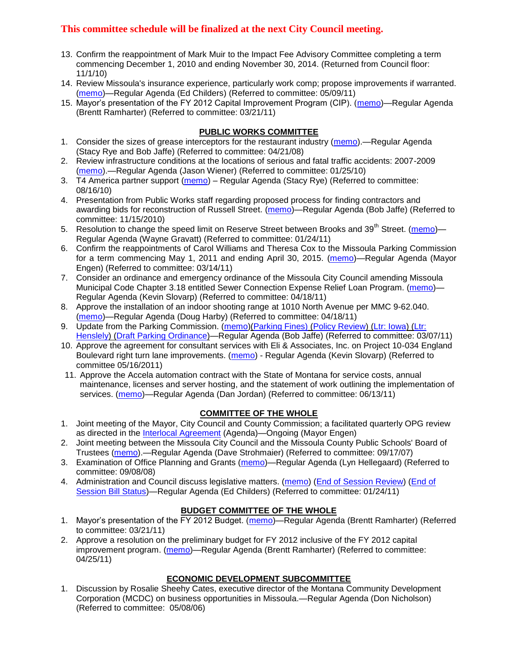- 13. Confirm the reappointment of Mark Muir to the Impact Fee Advisory Committee completing a term commencing December 1, 2010 and ending November 30, 2014. (Returned from Council floor: 11/1/10)
- 14. Review Missoula's insurance experience, particularly work comp; propose improvements if warranted. [\(memo\)](http://www.ci.missoula.mt.us/DocumentView.aspx?DID=6381)—Regular Agenda (Ed Childers) (Referred to committee: 05/09/11)
- 15. Mayor's presentation of the FY 2012 Capital Improvement Program (CIP). [\(memo\)](http://www.ci.missoula.mt.us/DocumentView.aspx?DID=5789)—Regular Agenda (Brentt Ramharter) (Referred to committee: 03/21/11)

### **PUBLIC WORKS COMMITTEE**

- 1. Consider the sizes of grease interceptors for the restaurant industry [\(memo\)](ftp://ftp.ci.missoula.mt.us/Packets/Council/2008/2008-04-21/Referrals/Industrial_waste_restaurants.pdf).—Regular Agenda (Stacy Rye and Bob Jaffe) (Referred to committee: 04/21/08)
- 2. Review infrastructure conditions at the locations of serious and fatal traffic accidents: 2007-2009 [\(memo\)](http://www.ci.missoula.mt.us/DocumentView.aspx?DID=3031).—Regular Agenda (Jason Wiener) (Referred to committee: 01/25/10)
- 3. T4 America partner support [\(memo\)](http://www.ci.missoula.mt.us/DocumentView.aspx?DID=4452) Regular Agenda (Stacy Rye) (Referred to committee: 08/16/10)
- 4. Presentation from Public Works staff regarding proposed process for finding contractors and awarding bids for reconstruction of Russell Street. [\(memo\)](http://www.ci.missoula.mt.us/DocumentView.aspx?DID=5042)—Regular Agenda (Bob Jaffe) (Referred to committee: 11/15/2010)
- 5. Resolution to change the speed limit on Reserve Street between Brooks and 39<sup>th</sup> Street. [\(memo\)](http://www.ci.missoula.mt.us/DocumentView.aspx?DID=5418) Regular Agenda (Wayne Gravatt) (Referred to committee: 01/24/11)
- 6. Confirm the reappointments of Carol Williams and Theresa Cox to the Missoula Parking Commission for a term commencing May 1, 2011 and ending April 30, 2015. [\(memo\)](http://www.ci.missoula.mt.us/DocumentView.aspx?DID=5727)—Regular Agenda (Mayor Engen) (Referred to committee: 03/14/11)
- 7. Consider an ordinance and emergency ordinance of the Missoula City Council amending Missoula Municipal Code Chapter 3.18 entitled Sewer Connection Expense Relief Loan Program. [\(memo\)](http://www.ci.missoula.mt.us/DocumentView.aspx?DID=6161)— Regular Agenda (Kevin Slovarp) (Referred to committee: 04/18/11)
- 8. Approve the installation of an indoor shooting range at 1010 North Avenue per MMC 9-62.040. [\(memo\)](http://www.ci.missoula.mt.us/DocumentView.aspx?DID=6173)—Regular Agenda (Doug Harby) (Referred to committee: 04/18/11)
- 9. Update from the Parking Commission. [\(memo\)](http://www.ci.missoula.mt.us/DocumentView.aspx?DID=5666)[\(Parking Fines\)](http://www.ci.missoula.mt.us/DocumentView.aspx?DID=5802) [\(Policy Review\)](http://www.ci.missoula.mt.us/DocumentView.aspx?DID=5799) [\(Ltr: Iowa\)](http://www.ci.missoula.mt.us/DocumentView.aspx?DID=5803) [\(Ltr:](http://www.ci.missoula.mt.us/DocumentView.aspx?DID=5804)  [Henslely\)](http://www.ci.missoula.mt.us/DocumentView.aspx?DID=5804) [\(Draft Parking Ordinance\)](http://www.ci.missoula.mt.us/DocumentView.aspx?DID=6057)—Regular Agenda (Bob Jaffe) (Referred to committee: 03/07/11)
- 10. Approve the agreement for consultant services with Eli & Associates, Inc. on Project 10-034 England Boulevard right turn lane improvements. [\(memo\)](http://www.ci.missoula.mt.us/DocumentView.aspx?DID=6419) - Regular Agenda (Kevin Slovarp) (Referred to committee 05/16/2011)
- 11. Approve the Accela automation contract with the State of Montana for service costs, annual maintenance, licenses and server hosting, and the statement of work outlining the implementation of services. [\(memo\)](http://www.ci.missoula.mt.us/DocumentView.aspx?DID=6588)—Regular Agenda (Dan Jordan) (Referred to committee: 06/13/11)

## **COMMITTEE OF THE WHOLE**

- 1. Joint meeting of the Mayor, City Council and County Commission; a facilitated quarterly OPG review as directed in the [Interlocal Agreement](ftp://ftp.ci.missoula.mt.us/Documents/Mayor/OPG/Adopted-ILA-2005.pdf) (Agenda)—Ongoing (Mayor Engen)
- 2. Joint meeting between the Missoula City Council and the Missoula County Public Schools' Board of Trustees [\(memo\)](ftp://ftp.ci.missoula.mt.us/Packets/Council/2007/2007-09-17/Referrals/Council_School_Board_referral.pdf).—Regular Agenda (Dave Strohmaier) (Referred to committee: 09/17/07)
- 3. Examination of Office Planning and Grants [\(memo\)](ftp://ftp.ci.missoula.mt.us/Packets/Council/2008/2008-09-08/Referrals/080825HendricksonOPGreferral.pdf)—Regular Agenda (Lyn Hellegaard) (Referred to committee: 09/08/08)
- 4. Administration and Council discuss legislative matters. [\(memo\)](http://www.ci.missoula.mt.us/DocumentView.aspx?DID=5433) [\(End of Session Review\)](http://www.ci.missoula.mt.us/DocumentView.aspx?DID=6504) [\(End of](http://www.ci.missoula.mt.us/DocumentView.aspx?DID=6505)  [Session Bill Status\)](http://www.ci.missoula.mt.us/DocumentView.aspx?DID=6505)—Regular Agenda (Ed Childers) (Referred to committee: 01/24/11)

## **BUDGET COMMITTEE OF THE WHOLE**

- 1. Mayor's presentation of the FY 2012 Budget. [\(memo\)](http://www.ci.missoula.mt.us/DocumentView.aspx?DID=5788)—Regular Agenda (Brentt Ramharter) (Referred to committee: 03/21/11)
- 2. Approve a resolution on the preliminary budget for FY 2012 inclusive of the FY 2012 capital improvement program. [\(memo\)](http://www.ci.missoula.mt.us/DocumentView.aspx?DID=6255)—Regular Agenda (Brentt Ramharter) (Referred to committee: 04/25/11)

## **ECONOMIC DEVELOPMENT SUBCOMMITTEE**

1. Discussion by Rosalie Sheehy Cates, executive director of the Montana Community Development Corporation (MCDC) on business opportunities in Missoula.—Regular Agenda (Don Nicholson) (Referred to committee: 05/08/06)